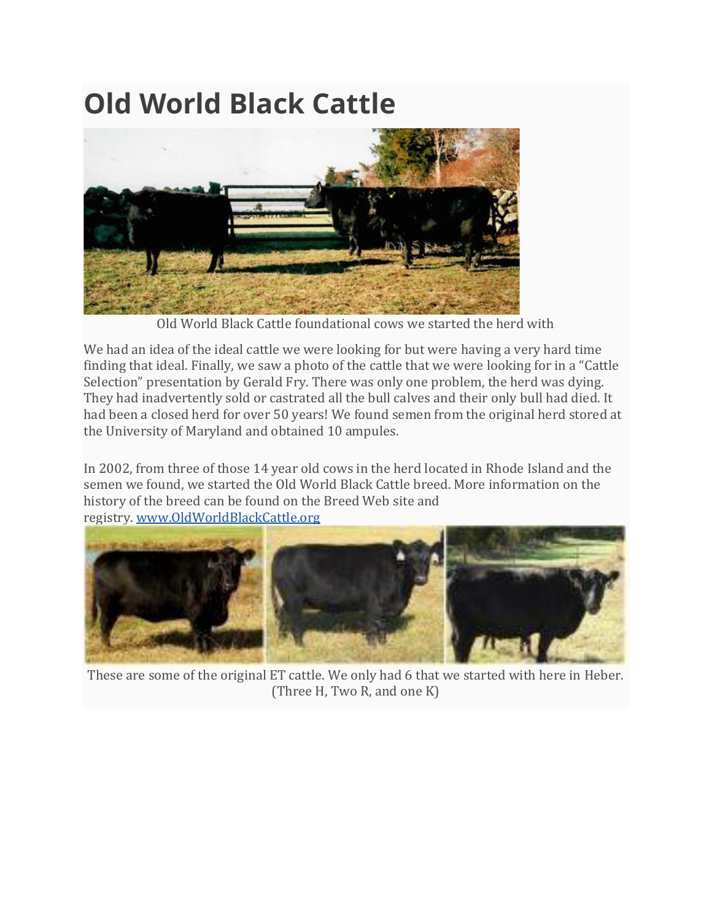## **Old World Black Cattle**



Old World Black Cattle foundational cows we started the herd with

We had an idea of the ideal cattle we were looking for but were having a very hard time finding that ideal. Finally, we saw a photo of the cattle that we were looking for in a "Cattle Selection" presentation by Gerald Fry. There was only one problem, the herd was dying. They had inadvertently sold or castrated all the bull calves and their only bull had died. It had been a closed herd for over 50 years! We found semen from the original herd stored at the University of Maryland and obtained 10 ampules.

In 2002, from three of those 14 year old cows in the herd located in Rhode Island and the semen we found, we started the Old World Black Cattle breed. More information on the history of the breed can be found on the Breed Web site and registry. [www.OldWorldBlackCattle.org](https://oldworldblackcattle.org/)



These are some of the original ET cattle. We only had 6 that we started with here in Heber. (Three H, Two R, and one K)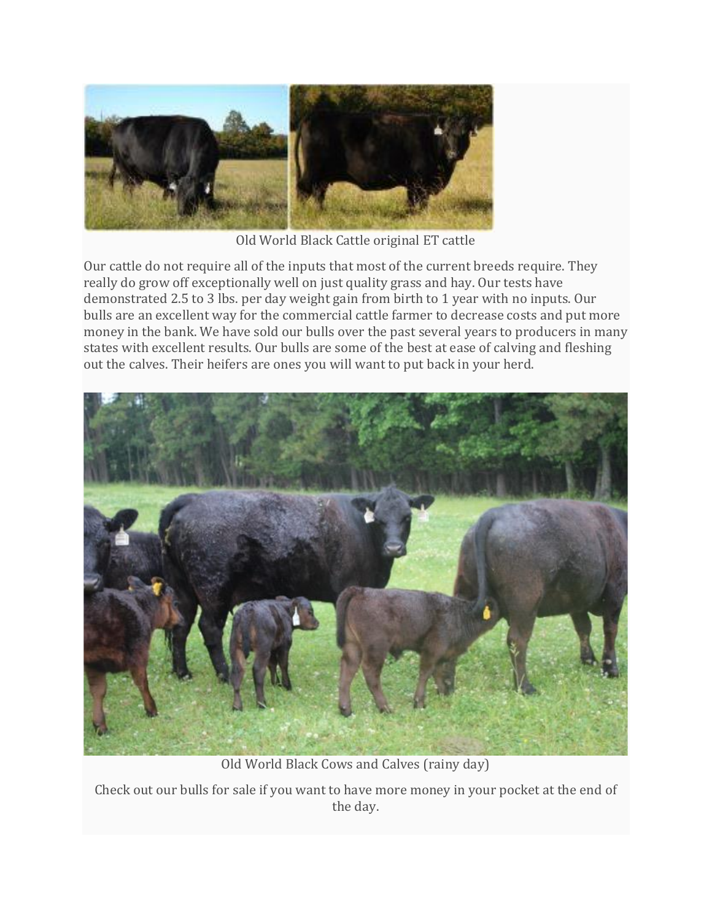

Old World Black Cattle original ET cattle

Our cattle do not require all of the inputs that most of the current breeds require. They really do grow off exceptionally well on just quality grass and hay. Our tests have demonstrated 2.5 to 3 lbs. per day weight gain from birth to 1 year with no inputs. Our bulls are an excellent way for the commercial cattle farmer to decrease costs and put more money in the bank. We have sold our bulls over the past several years to producers in many states with excellent results. Our bulls are some of the best at ease of calving and fleshing out the calves. Their heifers are ones you will want to put back in your herd.



Old World Black Cows and Calves (rainy day)

Check out our bulls for sale if you want to have more money in your pocket at the end of the day.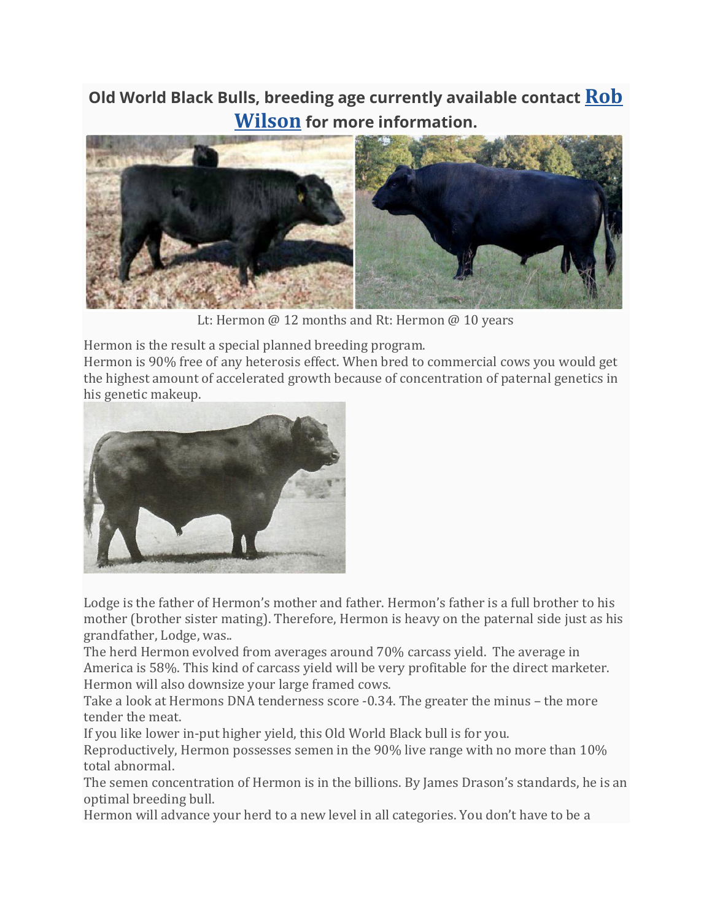## **Old World Black Bulls, breeding age currently available contact [Rob](https://wilsonranch.net/contact/) [Wilson](https://wilsonranch.net/contact/) for more information.**



Lt: Hermon @ 12 months and Rt: Hermon @ 10 years

Hermon is the result a special planned breeding program.

Hermon is 90% free of any heterosis effect. When bred to commercial cows you would get the highest amount of accelerated growth because of concentration of paternal genetics in his genetic makeup.



Lodge is the father of Hermon's mother and father. Hermon's father is a full brother to his mother (brother sister mating). Therefore, Hermon is heavy on the paternal side just as his grandfather, Lodge, was..

The herd Hermon evolved from averages around 70% carcass yield. The average in America is 58%. This kind of carcass yield will be very profitable for the direct marketer. Hermon will also downsize your large framed cows.

Take a look at Hermons DNA tenderness score -0.34. The greater the minus – the more tender the meat.

If you like lower in-put higher yield, this Old World Black bull is for you.

Reproductively, Hermon possesses semen in the 90% live range with no more than 10% total abnormal.

The semen concentration of Hermon is in the billions. By James Drason's standards, he is an optimal breeding bull.

Hermon will advance your herd to a new level in all categories. You don't have to be a